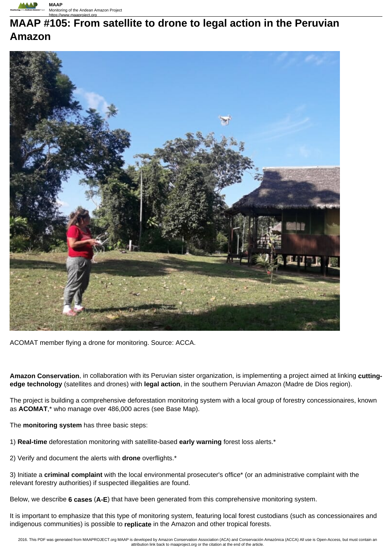

# **MAAP #105: From satellite to drone to legal action in the Peruvian Amazon**



ACOMAT member flying a drone for monitoring. Source: ACCA.

**Amazon Conservation**, in collaboration with its Peruvian sister organization, is implementing a project aimed at linking **cuttingedge technology** (satellites and drones) with **legal action**, in the southern Peruvian Amazon (Madre de Dios region).

The project is building a comprehensive deforestation monitoring system with a local group of forestry concessionaires, known as **ACOMAT**,\* who manage over 486,000 acres (see Base Map).

The **monitoring system** has three basic steps:

- 1) **Real-time** deforestation monitoring with satellite-based **early warning** forest loss alerts.\*
- 2) Verify and document the alerts with **drone** overflights.\*
- 3) Initiate a **criminal complaint** with the local environmental prosecuter's office\* (or an administrative complaint with the relevant forestry authorities) if suspected illegalities are found.

Below, we describe **6 cases** (**A-E**) that have been generated from this comprehensive monitoring system.

It is important to emphasize that this type of monitoring system, featuring local forest custodians (such as concessionaires and indigenous communities) is possible to **replicate** in the Amazon and other tropical forests.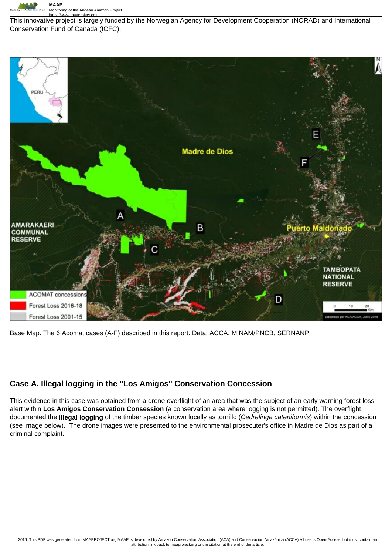

https://www.maaproject.org This innovative project is largely funded by the Norwegian Agency for Development Cooperation (NORAD) and International Conservation Fund of Canada (ICFC).



Base Map. The 6 Acomat cases (A-F) described in this report. Data: ACCA, MINAM/PNCB, SERNANP.

## **Case A. Illegal logging in the "Los Amigos" Conservation Concession**

This evidence in this case was obtained from a drone overflight of an area that was the subject of an early warning forest loss alert within **Los Amigos Conservation Consession** (a conservation area where logging is not permitted). The overflight documented the **illegal logging** of the timber species known locally as tornillo (Cedrelinga cateniformis) within the concession (see image below). The drone images were presented to the environmental prosecuter's office in Madre de Dios as part of a criminal complaint.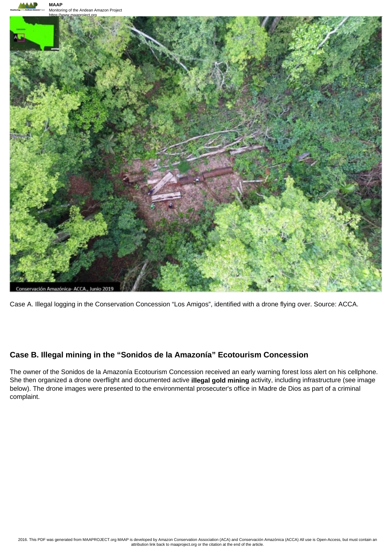

Case A. Illegal logging in the Conservation Concession "Los Amigos", identified with a drone flying over. Source: ACCA.

## **Case B. Illegal mining in the "Sonidos de la Amazonía" Ecotourism Concession**

The owner of the Sonidos de la Amazonía Ecotourism Concession received an early warning forest loss alert on his cellphone. She then organized a drone overflight and documented active **illegal gold mining** activity, including infrastructure (see image below). The drone images were presented to the environmental prosecuter's office in Madre de Dios as part of a criminal complaint.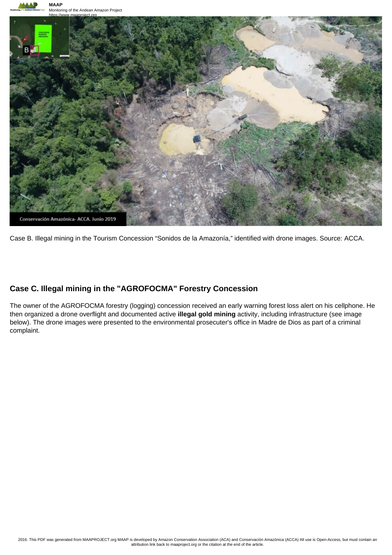



Case B. Illegal mining in the Tourism Concession "Sonidos de la Amazonía," identified with drone images. Source: ACCA.

#### **Case C. Illegal mining in the "AGROFOCMA" Forestry Concession**

The owner of the AGROFOCMA forestry (logging) concession received an early warning forest loss alert on his cellphone. He then organized a drone overflight and documented active **illegal gold mining** activity, including infrastructure (see image below). The drone images were presented to the environmental prosecuter's office in Madre de Dios as part of a criminal complaint.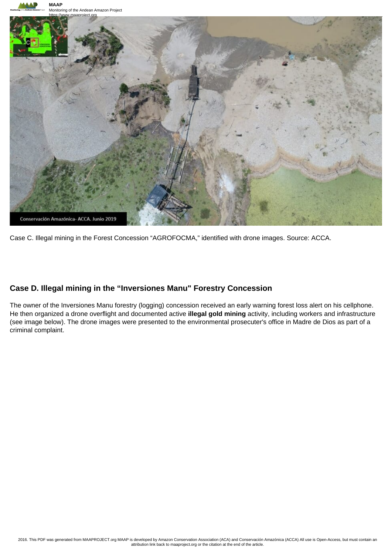



Case C. Illegal mining in the Forest Concession "AGROFOCMA," identified with drone images. Source: ACCA.

### **Case D. Illegal mining in the "Inversiones Manu" Forestry Concession**

The owner of the Inversiones Manu forestry (logging) concession received an early warning forest loss alert on his cellphone. He then organized a drone overflight and documented active **illegal gold mining** activity, including workers and infrastructure (see image below). The drone images were presented to the environmental prosecuter's office in Madre de Dios as part of a criminal complaint.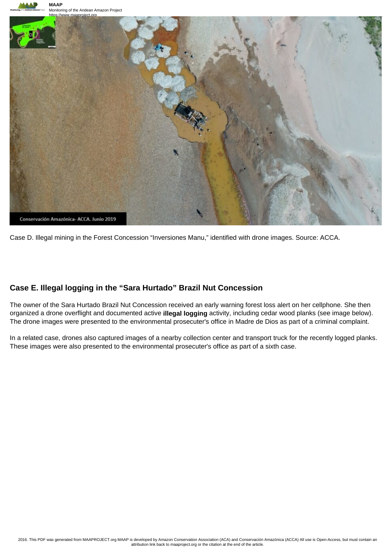



Case D. Illegal mining in the Forest Concession "Inversiones Manu," identified with drone images. Source: ACCA.

## **Case E. Illegal logging in the "Sara Hurtado" Brazil Nut Concession**

The owner of the Sara Hurtado Brazil Nut Concession received an early warning forest loss alert on her cellphone. She then organized a drone overflight and documented active **illegal logging** activity, including cedar wood planks (see image below). The drone images were presented to the environmental prosecuter's office in Madre de Dios as part of a criminal complaint.

In a related case, drones also captured images of a nearby collection center and transport truck for the recently logged planks. These images were also presented to the environmental prosecuter's office as part of a sixth case.